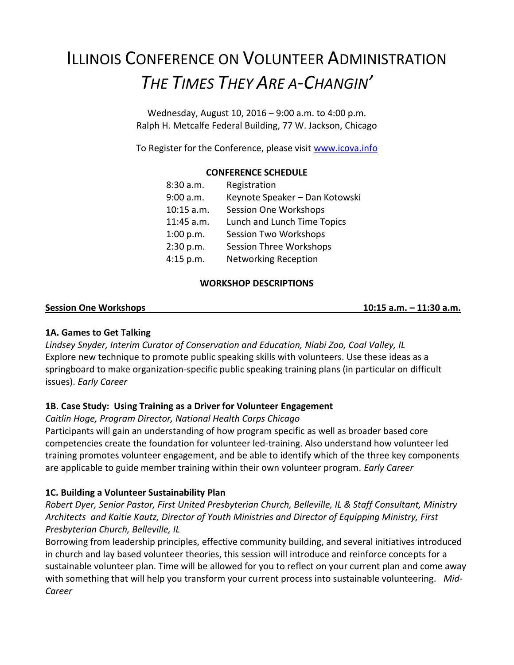# ILLINOIS CONFERENCE ON VOLUNTEER ADMINISTRATION *THE TIMES THEY ARE A-CHANGIN'*

Wednesday, August 10, 2016 – 9:00 a.m. to 4:00 p.m. Ralph H. Metcalfe Federal Building, 77 W. Jackson, Chicago

To Register for the Conference, please visit [www.icova.info](http://www.icova.info/)

## **CONFERENCE SCHEDULE**

| 8:30 a.m.  | Registration                   |
|------------|--------------------------------|
| 9:00 a.m.  | Keynote Speaker - Dan Kotowski |
| 10:15 a.m. | <b>Session One Workshops</b>   |
| 11:45 a.m. | Lunch and Lunch Time Topics    |
| 1:00 p.m.  | <b>Session Two Workshops</b>   |
| 2:30 p.m.  | <b>Session Three Workshops</b> |
| 4:15 p.m.  | <b>Networking Reception</b>    |

#### **WORKSHOP DESCRIPTIONS**

#### **Session One Workshops 10:15 a.m. – 11:30 a.m.**

#### **1A. Games to Get Talking**

*Lindsey Snyder, Interim Curator of Conservation and Education, Niabi Zoo, Coal Valley, IL* Explore new technique to promote public speaking skills with volunteers. Use these ideas as a springboard to make organization-specific public speaking training plans (in particular on difficult issues). *Early Career*

## **1B. Case Study: Using Training as a Driver for Volunteer Engagement**

#### *Caitlin Hoge, Program Director, National Health Corps Chicago*

Participants will gain an understanding of how program specific as well as broader based core competencies create the foundation for volunteer led-training. Also understand how volunteer led training promotes volunteer engagement, and be able to identify which of the three key components are applicable to guide member training within their own volunteer program. *Early Career*

## **1C. Building a Volunteer Sustainability Plan**

*Robert Dyer, Senior Pastor, First United Presbyterian Church, Belleville, IL & Staff Consultant, Ministry Architects and Kaitie Kautz, Director of Youth Ministries and Director of Equipping Ministry, First Presbyterian Church, Belleville, IL*

Borrowing from leadership principles, effective community building, and several initiatives introduced in church and lay based volunteer theories, this session will introduce and reinforce concepts for a sustainable volunteer plan. Time will be allowed for you to reflect on your current plan and come away with something that will help you transform your current process into sustainable volunteering. *Mid-Career*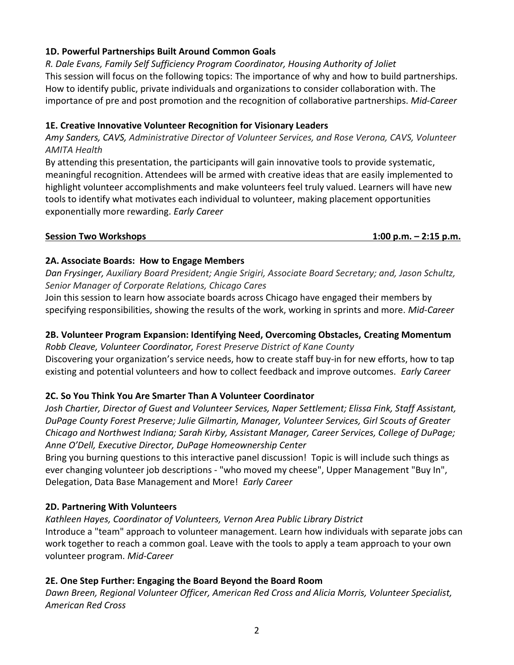# **1D. Powerful Partnerships Built Around Common Goals**

*R. Dale Evans, Family Self Sufficiency Program Coordinator, Housing Authority of Joliet* This session will focus on the following topics: The importance of why and how to build partnerships. How to identify public, private individuals and organizations to consider collaboration with. The importance of pre and post promotion and the recognition of collaborative partnerships. *Mid-Career*

## **1E. Creative Innovative Volunteer Recognition for Visionary Leaders**

*Amy Sanders, CAVS, Administrative Director of Volunteer Services, and Rose Verona, CAVS, Volunteer AMITA Health*

By attending this presentation, the participants will gain innovative tools to provide systematic, meaningful recognition. Attendees will be armed with creative ideas that are easily implemented to highlight volunteer accomplishments and make volunteers feel truly valued. Learners will have new tools to identify what motivates each individual to volunteer, making placement opportunities exponentially more rewarding. *Early Career*

#### **Session Two Workshops 1:00 p.m. – 2:15 p.m.**

## **2A. Associate Boards: How to Engage Members**

*Dan Frysinger, Auxiliary Board President; Angie Srigiri, Associate Board Secretary; and, Jason Schultz, Senior Manager of Corporate Relations, Chicago Cares*

Join this session to learn how associate boards across Chicago have engaged their members by specifying responsibilities, showing the results of the work, working in sprints and more. *Mid-Career*

## **2B. Volunteer Program Expansion: Identifying Need, Overcoming Obstacles, Creating Momentum**

*Robb Cleave, Volunteer Coordinator, Forest Preserve District of Kane County* Discovering your organization's service needs, how to create staff buy-in for new efforts, how to tap existing and potential volunteers and how to collect feedback and improve outcomes. *Early Career*

## **2C. So You Think You Are Smarter Than A Volunteer Coordinator**

*Josh Chartier, Director of Guest and Volunteer Services, Naper Settlement; Elissa Fink, Staff Assistant, DuPage County Forest Preserve; Julie Gilmartin, Manager, Volunteer Services, Girl Scouts of Greater Chicago and Northwest Indiana; Sarah Kirby, Assistant Manager, Career Services, College of DuPage; Anne O'Dell, Executive Director, DuPage Homeownership Center*

Bring you burning questions to this interactive panel discussion! Topic is will include such things as ever changing volunteer job descriptions - "who moved my cheese", Upper Management "Buy In", Delegation, Data Base Management and More! *Early Career*

#### **2D. Partnering With Volunteers**

*Kathleen Hayes, Coordinator of Volunteers, Vernon Area Public Library District* Introduce a "team" approach to volunteer management. Learn how individuals with separate jobs can work together to reach a common goal. Leave with the tools to apply a team approach to your own volunteer program. *Mid-Career*

## **2E. One Step Further: Engaging the Board Beyond the Board Room**

*Dawn Breen, Regional Volunteer Officer, American Red Cross and Alicia Morris, Volunteer Specialist, American Red Cross*